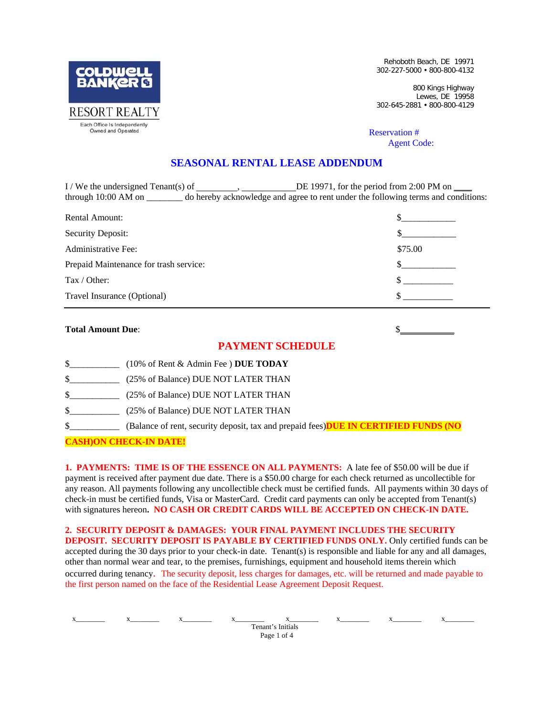

Rehoboth Beach, DE 19971 302-227-5000 • 800-800-4132

800 Kings Highway Lewes, DE 19958 302-645-2881 • 800-800-4129

## Reservation # *Agent Code:*

## **SEASONAL RENTAL LEASE ADDENDUM**

 $I /$  We the undersigned Tenant(s) of  $I$ ,  $D$  and  $D$  and  $D$  and  $D$  and  $D$  and  $D$  and  $D$  and  $D$  and  $D$  and  $D$  and  $D$  and  $D$  and  $D$  and  $D$  and  $D$  and  $D$  and  $D$  and  $D$  and  $D$  and  $D$  and  $D$  and  $D$  and  $D$ through 10:00 AM on \_\_\_\_\_\_\_\_ do hereby acknowledge and agree to rent under the following terms and conditions:

| Rental Amount:                         |         |
|----------------------------------------|---------|
| Security Deposit:                      |         |
| Administrative Fee:                    | \$75.00 |
| Prepaid Maintenance for trash service: |         |
| Tax / Other:                           |         |
| Travel Insurance (Optional)            |         |

| <b>Total Amount Due:</b> |                                                                                      |
|--------------------------|--------------------------------------------------------------------------------------|
|                          | <b>PAYMENT SCHEDULE</b>                                                              |
| \$                       | (10% of Rent & Admin Fee) DUE TODAY                                                  |
| \$                       | (25% of Balance) DUE NOT LATER THAN                                                  |
| \$                       | (25% of Balance) DUE NOT LATER THAN                                                  |
| \$                       | (25% of Balance) DUE NOT LATER THAN                                                  |
| \$                       | (Balance of rent, security deposit, tax and prepaid fees) DUE IN CERTIFIED FUNDS (NO |
|                          | <b>DN CHECK-IN DATE!</b>                                                             |

**1. PAYMENTS: TIME IS OF THE ESSENCE ON ALL PAYMENTS:** A late fee of \$50.00 will be due if payment is received after payment due date. There is a \$50.00 charge for each check returned as uncollectible for any reason. All payments following any uncollectible check must be certified funds. All payments within 30 days of check-in must be certified funds, Visa or MasterCard. Credit card payments can only be accepted from Tenant(s) with signatures hereon**. NO CASH OR CREDIT CARDS WILL BE ACCEPTED ON CHECK-IN DATE.**

**2. SECURITY DEPOSIT & DAMAGES: YOUR FINAL PAYMENT INCLUDES THE SECURITY DEPOSIT. SECURITY DEPOSIT IS PAYABLE BY CERTIFIED FUNDS ONLY.** Only certified funds can be accepted during the 30 days prior to your check-in date. Tenant(s) is responsible and liable for any and all damages, other than normal wear and tear, to the premises, furnishings, equipment and household items therein which occurred during tenancy. The security deposit, less charges for damages, etc. will be returned and made payable to the first person named on the face of the Residential Lease Agreement Deposit Request.

 x\_\_\_\_\_\_\_\_ x\_\_\_\_\_\_\_\_ x\_\_\_\_\_\_\_\_ x\_\_\_\_\_\_\_\_ x\_\_\_\_\_\_\_\_ x\_\_\_\_\_\_\_\_ x\_\_\_\_\_\_\_\_ x\_\_\_\_\_\_\_\_ Tenant's Initials Page 1 of 4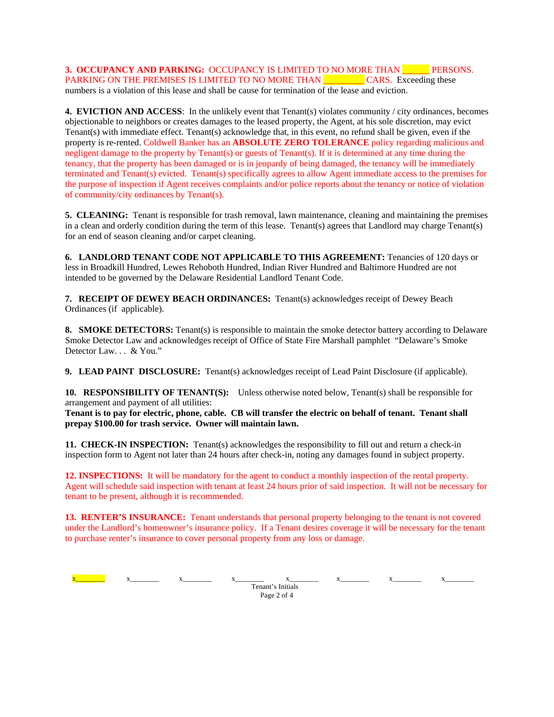**3. OCCUPANCY AND PARKING:** OCCUPANCY IS LIMITED TO NO MORE THAN **THE PERSONS.** PARKING ON THE PREMISES IS LIMITED TO NO MORE THAN CARS. Exceeding these numbers is a violation of this lease and shall be cause for termination of the lease and eviction.

**4. EVICTION AND ACCESS**: In the unlikely event that Tenant(s) violates community / city ordinances, becomes objectionable to neighbors or creates damages to the leased property, the Agent, at his sole discretion, may evict Tenant(s) with immediate effect. Tenant(s) acknowledge that, in this event, no refund shall be given, even if the property is re-rented. Coldwell Banker has an **ABSOLUTE ZERO TOLERANCE** policy regarding malicious and negligent damage to the property by Tenant(s) or guests of Tenant(s). If it is determined at any time during the tenancy, that the property has been damaged or is in jeopardy of being damaged, the tenancy will be immediately terminated and Tenant(s) evicted. Tenant(s) specifically agrees to allow Agent immediate access to the premises for the purpose of inspection if Agent receives complaints and/or police reports about the tenancy or notice of violation of community/city ordinances by Tenant(s).

**5. CLEANING:** Tenant is responsible for trash removal, lawn maintenance, cleaning and maintaining the premises in a clean and orderly condition during the term of this lease. Tenant(s) agrees that Landlord may charge Tenant(s) for an end of season cleaning and/or carpet cleaning.

**6. LANDLORD TENANT CODE NOT APPLICABLE TO THIS AGREEMENT:** Tenancies of 120 days or less in Broadkill Hundred, Lewes Rehoboth Hundred, Indian River Hundred and Baltimore Hundred are not intended to be governed by the Delaware Residential Landlord Tenant Code.

**7. RECEIPT OF DEWEY BEACH ORDINANCES:** Tenant(s) acknowledges receipt of Dewey Beach Ordinances (if applicable).

**8. SMOKE DETECTORS:** Tenant(s) is responsible to maintain the smoke detector battery according to Delaware Smoke Detector Law and acknowledges receipt of Office of State Fire Marshall pamphlet "Delaware's Smoke Detector Law. . . & You."

**9. LEAD PAINT DISCLOSURE:** Tenant(s) acknowledges receipt of Lead Paint Disclosure (if applicable).

**10. RESPONSIBILITY OF TENANT(S):** Unless otherwise noted below, Tenant(s) shall be responsible for arrangement and payment of all utilities:

**Tenant is to pay for electric, phone, cable. CB will transfer the electric on behalf of tenant. Tenant shall prepay \$100.00 for trash service. Owner will maintain lawn.** 

**11. CHECK-IN INSPECTION:** Tenant(s) acknowledges the responsibility to fill out and return a check-in inspection form to Agent not later than 24 hours after check-in, noting any damages found in subject property.

**12. INSPECTIONS:** It will be mandatory for the agent to conduct a monthly inspection of the rental property. Agent will schedule said inspection with tenant at least 24 hours prior of said inspection. It will not be necessary for tenant to be present, although it is recommended.

**13. RENTER'S INSURANCE:** Tenant understands that personal property belonging to the tenant is not covered under the Landlord's homeowner's insurance policy. If a Tenant desires coverage it will be necessary for the tenant to purchase renter's insurance to cover personal property from any loss or damage.

 $x$  x\_\_\_\_\_ x\_\_\_\_ x\_\_\_\_ x\_\_\_\_ x\_\_\_\_ x\_\_\_\_ x\_\_\_\_ x\_\_\_\_ x\_\_\_\_ Tenant's Initials Page 2 of 4